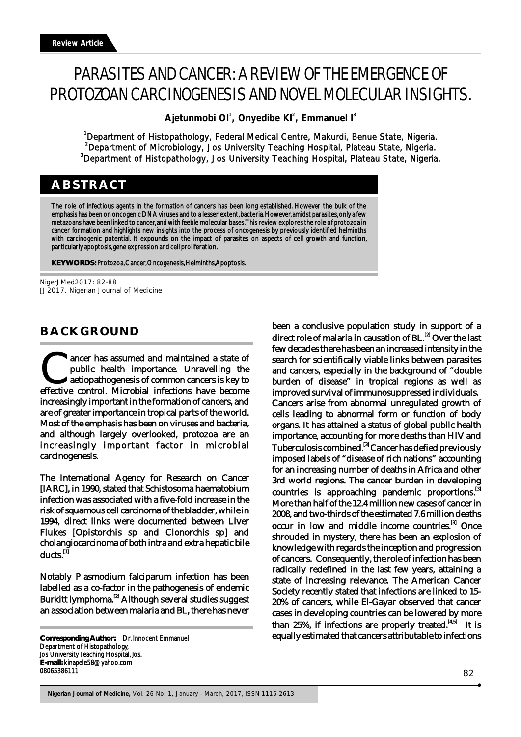# PARASITES AND CANCER: A REVIEW OF THE EMERGENCE OF PROTOZOAN CARCINOGENESIS AND NOVEL MOLECULAR INSIGHTS.

**Ajetunmobi OI , Onyedibe KI , Emmanuel I <sup>1</sup> <sup>2</sup> <sup>3</sup>**

<sup>1</sup>Department of Histopathology, Federal Medical Centre, Makurdi, Benue State, Nigeria. <sup>2</sup>Department of Microbiology, Jos University Teaching Hospital, Plateau State, Nigeria. <sup>3</sup>Department of Histopathology, Jos University Teaching Hospital, Plateau State, Nigeria.

# **ABSTRACT**

The role of infectious agents in the formation of cancers has been long established. However the bulk of the emphasis has been on oncogenic DNA viruses and to a lesser extent, bacteria. However, amidst parasites, only a few metazoans have been linked to cancer, and with feeble molecular bases. This review explores the role of protozoa in cancer formation and highlights new insights into the process of oncogenesis by previously identified helminths with carcinogenic potential. It expounds on the impact of parasites on aspects of cell growth and function, particularly apoptosis, gene expression and cell proliferation.

**KEYWORDS:** Protozoa, Cancer, Oncogenesis, Helminths, Apoptosis.

NigerJMed2017: 82-88 2017. Nigerian Journal of Medicine

# **BACKGROUND**

ancer has assumed and maintained a state of public health importance. Unravelling the aetiopathogenesis of common cancers is key to effective control. Microbial infections have become increasingly important in the formation of cancers, and are of greater importance in tropical parts of the world. Most of the emphasis has been on viruses and bacteria, and although largely overlooked, protozoa are an increasingly important factor in microbial carcinogenesis.

The International Agency for Research on Cancer [IARC], in 1990, stated that Schistosoma haematobium infection was associated with a five-fold increase in the risk of squamous cell carcinoma of the bladder, while in 1994, direct links were documented between Liver Flukes [Opistorchis sp and Clonorchis sp] and cholangiocarcinoma of both intra and extra hepatic bile ducts.<sup>[1]</sup>

Notably Plasmodium falciparum infection has been labelled as a co-factor in the pathogenesis of endemic Burkitt lymphoma.<sup>[2]</sup> Although several studies suggest an association between malaria and BL, there has never

been a conclusive population study in support of a direct role of malaria in causation of  $BL<sup>[2]</sup>$  Over the last few decades there has been an increased intensity in the search for scientifically viable links between parasites and cancers, especially in the background of "double burden of disease" in tropical regions as well as improved survival of immunosuppressed individuals. Cancers arise from abnormal unregulated growth of cells leading to abnormal form or function of body organs. It has attained a status of global public health importance, accounting for more deaths than HIV and Tuberculosis combined.<sup>[3]</sup> Cancer has defied previously imposed labels of "disease of rich nations" accounting for an increasing number of deaths in Africa and other 3rd world regions. The cancer burden in developing countries is approaching pandemic proportions.<sup>[3]</sup> More than half of the 12.4 million new cases of cancer in 2008, and two-thirds of the estimated 7.6 million deaths occur in low and middle income countries.<sup>[3]</sup> Once shrouded in mystery, there has been an explosion of knowledge with regards the inception and progression of cancers. Consequently, the role of infection has been radically redefined in the last few years, attaining a state of increasing relevance. The American Cancer Society recently stated that infections are linked to 15- 20% of cancers, while El-Gayar observed that cancer cases in developing countries can be lowered by more than 25%, if infections are properly treated.  $\frac{[4,5]}{[4,5]}$  It is equally estimated that cancers attributable to infections

**Corresponding Author:** Dr. Innocent Emmanuel Department of Histopathology, Jos University Teaching Hospital, Jos. **E-mail:** kinapele58@yahoo.com 08065386111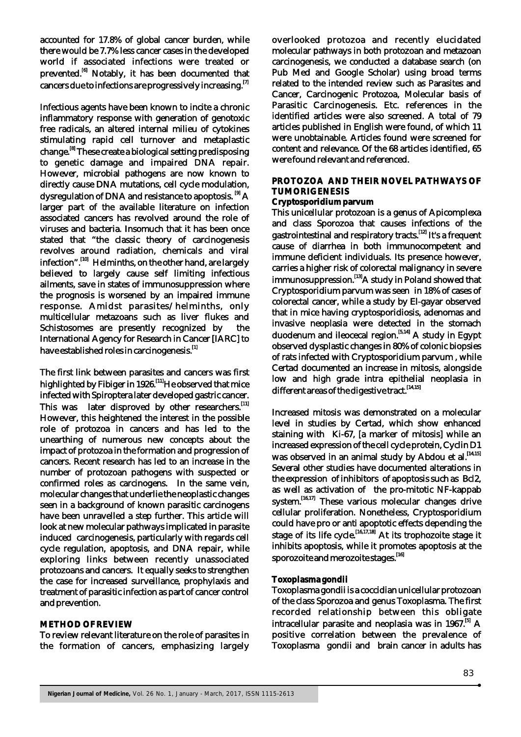accounted for 17.8% of global cancer burden, while there would be 7.7% less cancer cases in the developed world if associated infections were treated or prevented.<sup>[6]</sup> Notably, it has been documented that cancers due to infections are progressively increasing.<sup>[7]</sup>

Infectious agents have been known to incite a chronic inflammatory response with generation of genotoxic free radicals, an altered internal milieu of cytokines stimulating rapid cell turnover and metaplastic change.<sup>[8]</sup> These create a biological setting predisposing to genetic damage and impaired DNA repair. However, microbial pathogens are now known to directly cause DNA mutations, cell cycle modulation, dysregulation of DNA and resistance to apoptosis.  $^{[9]}$  A larger part of the available literature on infection associated cancers has revolved around the role of viruses and bacteria. Insomuch that it has been once stated that "the classic theory of carcinogenesis revolves around radiation, chemicals and viral infection".<sup>[10]</sup> Helminths, on the other hand, are largely believed to largely cause self limiting infectious ailments, save in states of immunosuppression where the prognosis is worsened by an impaired immune response. Amidst parasites/helminths, only multicellular metazoans such as liver flukes and Schistosomes are presently recognized by the International Agency for Research in Cancer [IARC] to have established roles in carcinogenesis.<sup>[1]</sup>

The first link between parasites and cancers was first highlighted by Fibiger in 1926.<sup>[11]</sup> He observed that mice infected with Spiroptera later developed gastric cancer. This was later disproved by other researchers.<sup>[11]</sup> However, this heightened the interest in the possible role of protozoa in cancers and has led to the unearthing of numerous new concepts about the impact of protozoa in the formation and progression of cancers. Recent research has led to an increase in the number of protozoan pathogens with suspected or confirmed roles as carcinogens. In the same vein, molecular changes that underlie the neoplastic changes seen in a background of known parasitic carcinogens have been unravelled a step further. This article will look at new molecular pathways implicated in parasite induced carcinogenesis, particularly with regards cell cycle regulation, apoptosis, and DNA repair, while exploring links between recently unassociated protozoans and cancers. It equally seeks to strengthen the case for increased surveillance, prophylaxis and treatment of parasitic infection as part of cancer control and prevention.

#### **METHOD OF REVIEW**

To review relevant literature on the role of parasites in the formation of cancers, emphasizing largely overlooked protozoa and recently elucidated molecular pathways in both protozoan and metazoan carcinogenesis, we conducted a database search (on Pub Med and Google Scholar) using broad terms related to the intended review such as Parasites and Cancer, Carcinogenic Protozoa, Molecular basis of Parasitic Carcinogenesis. Etc. references in the identified articles were also screened. A total of 79 articles published in English were found, of which 11 were unobtainable. Articles found were screened for content and relevance. Of the 68 articles identified, 65 were found relevant and referenced.

#### **PROTOZOA AND THEIR NOVEL PATHWAYS OF TUMORIGENESIS**

#### **Cryptosporidium parvum**

This unicellular protozoan is a genus of Apicomplexa and class Sporozoa that causes infections of the gastrointestinal and respiratory tracts.<sup>[12]</sup> It's a frequent cause of diarrhea in both immunocompetent and immune deficient individuals. Its presence however, carries a higher risk of colorectal malignancy in severe immunosuppression. [13] A study in Poland showed that Cryptosporidium parvum was seen in 18% of cases of colorectal cancer, while a study by El-gayar observed that in mice having cryptosporidiosis, adenomas and invasive neoplasia were detected in the stomach  $\frac{1}{2}$  duodenum and ileocecal region.<sup> $[5,14]$ </sup> A study in Egypt observed dysplastic changes in 80% of colonic biopsies of rats infected with Cryptosporidium parvum , while Certad documented an increase in mitosis, alongside low and high grade intra epithelial neoplasia in different areas of the digestive tract.<sup>[14,15]</sup>

Increased mitosis was demonstrated on a molecular level in studies by Certad, which show enhanced staining with Ki-67, [a marker of mitosis] while an increased expression of the cell cycle protein, Cyclin D1 was observed in an animal study by Abdou et al.<sup>[14,15]</sup> Several other studies have documented alterations in the expression of inhibitors of apoptosis such as Bcl2, as well as activation of the pro-mitotic NF-kappab system.  $[16,17]$  These various molecular changes drive cellular proliferation. Nonetheless, Cryptosporidium could have pro or anti apoptotic effects depending the stage of its life cycle.<sup>[16,17,18]</sup> At its trophozoite stage it inhibits apoptosis, while it promotes apoptosis at the sporozoite and merozoite stages.<sup>[16]</sup>

#### **Toxoplasma gondii**

Toxoplasma gondii is a coccidian unicellular protozoan of the class Sporozoa and genus Toxoplasma. The first recorded relationship between this obligate intracellular parasite and neoplasia was in 1967.<sup>[5]</sup> A positive correlation between the prevalence of Toxoplasma gondii and brain cancer in adults has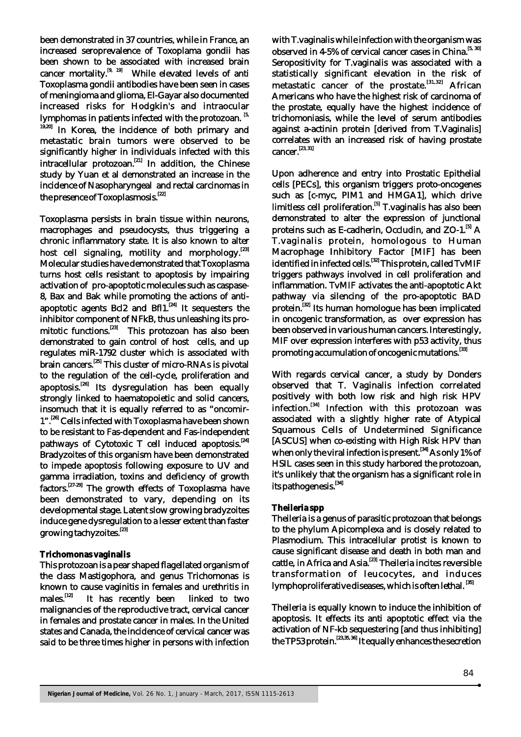been demonstrated in 37 countries, while in France, an increased seroprevalence of Toxoplama gondii has been shown to be associated with increased brain cancer mortality.<sup>[9, 19]</sup> While elevated levels of anti Toxoplasma gondii antibodies have been seen in cases of meningioma and glioma, El-Gayar also documented increased risks for Hodgkin's and intraocular lymphomas in patients infected with the protozoan.<sup>[5,</sup> <sup>19,20]</sup> In Korea, the incidence of both primary and metastatic brain tumors were observed to be significantly higher in individuals infected with this intracellular protozoan.<sup>[21]</sup> In addition, the Chinese study by Yuan et al demonstrated an increase in the incidence of Nasopharyngeal and rectal carcinomas in the presence of Toxoplasmosis.<sup>[22]</sup>

Toxoplasma persists in brain tissue within neurons, macrophages and pseudocysts, thus triggering a chronic inflammatory state. It is also known to alter host cell signaling, motility and morphology.<sup>[23]</sup> Molecular studies have demonstrated that Toxoplasma turns host cells resistant to apoptosis by impairing activation of pro-apoptotic molecules such as caspase-8, Bax and Bak while promoting the actions of anti apoptotic agents Bcl2 and Bfl1. $[24]$  It sequesters the inhibitor component of NFkB, thus unleashing its pro-  $\frac{1}{2}$  mitotic functions.<sup>[23]</sup> This protozoan has also been demonstrated to gain control of host cells, and up regulates miR-1792 cluster which is associated with brain cancers.<sup>[25]</sup> This cluster of micro-RNAs is pivotal to the regulation of the cell-cycle, proliferation and apoptosis.<sup>[26]</sup> Its dysregulation has been equally strongly linked to haematopoietic and solid cancers, insomuch that it is equally referred to as "oncomir- 1".<sup>[26]</sup> Cells infected with Toxoplasma have been shown to be resistant to Fas-dependent and Fas-independent pathways of Cytotoxic T cell induced apoptosis.<sup>[24]</sup> Bradyzoites of this organism have been demonstrated to impede apoptosis following exposure to UV and gamma irradiation, toxins and deficiency of growth  $\overline{\text{factors}}$ . [27-29] The growth effects of Toxoplasma have been demonstrated to vary, depending on its developmental stage. Latent slow growing bradyzoites induce gene dysregulation to a lesser extent than faster growing tachyzoites.<sup>[23]</sup>

# **Trichomonas vaginalis**

This protozoan is a pear shaped flagellated organism of the class Mastigophora, and genus Trichomonas is known to cause vaginitis in females and urethritis in males.<sup>[12]</sup> It has recently been linked to two malignancies of the reproductive tract, cervical cancer in females and prostate cancer in males. In the United states and Canada, the incidence of cervical cancer was said to be three times higher in persons with infection with T.vaginalis while infection with the organism was observed in 4-5% of cervical cancer cases in China.<sup>[5, 30]</sup> Seropositivity for T.vaginalis was associated with a statistically significant elevation in the risk of metastatic cancer of the prostate.  $[31,32]$  African Americans who have the highest risk of carcinoma of the prostate, equally have the highest incidence of trichomoniasis, while the level of serum antibodies against a-actinin protein [derived from T.Vaginalis] correlates with an increased risk of having prostate  $cancer.$ <sup>[23, 31]</sup>

Upon adherence and entry into Prostatic Epithelial cells [PECs], this organism triggers proto-oncogenes such as [c-myc, PIM1 and HMGA1], which drive limitless cell proliferation.<sup>[5]</sup> T.vaginalis has also been demonstrated to alter the expression of junctional proteins such as E-cadherin, Occludin, and ZO-1.<sup>[5]</sup> A T.vaginalis protein, homologous to Human Macrophage Inhibitory Factor [MIF] has been identified in infected cells. [32] This protein, called TvMIF triggers pathways involved in cell proliferation and inflammation. TvMIF activates the anti-apoptotic Akt pathway via silencing of the pro-apoptotic BAD protein.<sup>[32]</sup> Its human homologue has been implicated in oncogenic transformation, as over expression has been observed in various human cancers. Interestingly, MIF over expression interferes with p53 activity, thus promoting accumulation of oncogenic mutations.<sup>[33]</sup>

With regards cervical cancer, a study by Donders observed that T. Vaginalis infection correlated positively with both low risk and high risk HPV infection.<sup>[34]</sup> Infection with this protozoan was associated with a slightly higher rate of Atypical Squamous Cells of Undetermined Significance [ASCUS] when co-existing with High Risk HPV than when only the viral infection is present.<sup>[34]</sup> As only 1% of HSIL cases seen in this study harbored the protozoan, it's unlikely that the organism has a significant role in its pathogenesis.<sup>[34]</sup>

# **Theileria spp**

Theileria is a genus of parasitic protozoan that belongs to the phylum Apicomplexa and is closely related to Plasmodium. This intracellular protist is known to cause significant disease and death in both man and cattle, in Africa and Asia.<sup>[23]</sup> Theileria incites reversible transformation of leucocytes, and induces lymphoproliferative diseases, which is often lethal.<sup>[35]</sup>

Theileria is equally known to induce the inhibition of apoptosis. It effects its anti apoptotic effect via the activation of NF-kb sequestering [and thus inhibiting] the TP53 protein.  $[23,35,36]$  It equally enhances the secretion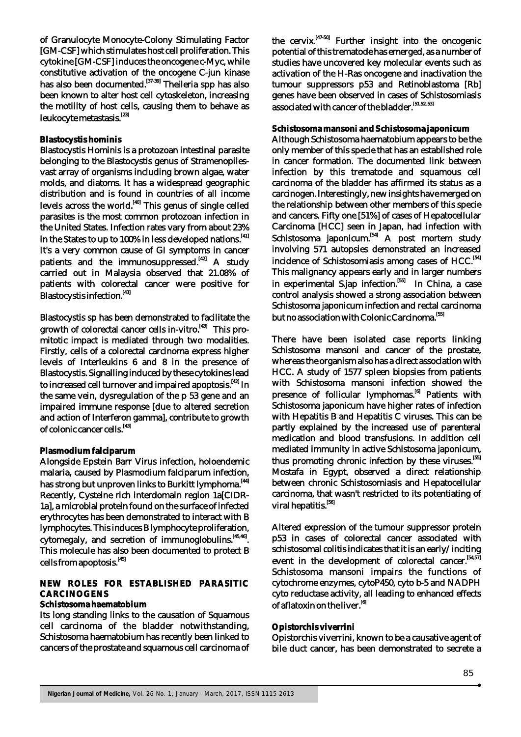of Granulocyte Monocyte-Colony Stimulating Factor [GM-CSF] which stimulates host cell proliferation. This cytokine [GM-CSF] induces the oncogene c-Myc, while constitutive activation of the oncogene C-jun kinase has also been documented.<sup>[37-39]</sup> Theileria spp has also been known to alter host cell cytoskeleton, increasing the motility of host cells, causing them to behave as leukocyte metastasis.<sup>[23]</sup>

## **Blastocystis hominis**

Blastocystis Hominis is a protozoan intestinal parasite belonging to the Blastocystis genus of Stramenopilesvast array of organisms including brown algae, water molds, and diatoms. It has a widespread geographic distribution and is found in countries of all income levels across the world.  $[40]$  This genus of single celled parasites is the most common protozoan infection in the United States. Infection rates vary from about 23% in the States to up to 100% in less developed nations.<sup>[41]</sup> It's a very common cause of GI symptoms in cancer patients and the immunosuppressed.<sup>[42]</sup> A study carried out in Malaysia observed that 21.08% of patients with colorectal cancer were positive for Blastocystis infection.<sup>[43]</sup>

Blastocystis sp has been demonstrated to facilitate the growth of colorectal cancer cells in-vitro.  $^{[43]}$  This promitotic impact is mediated through two modalities. Firstly, cells of a colorectal carcinoma express higher levels of Interleukins 6 and 8 in the presence of Blastocystis. Signalling induced by these cytokines lead to increased cell turnover and impaired apoptosis. [42] In the same vein, dysregulation of the p 53 gene and an impaired immune response [due to altered secretion and action of Interferon gamma], contribute to growth of colonic cancer cells.<sup>[43]</sup>

## **Plasmodium falciparum**

Alongside Epstein Barr Virus infection, holoendemic malaria, caused by Plasmodium falciparum infection, has strong but unproven links to Burkitt lymphoma.<sup>[44]</sup> Recently, Cysteine rich interdomain region 1a[CIDR-1a], a microbial protein found on the surface of infected erythrocytes has been demonstrated to interact with B lymphocytes. This induces B lymphocyte proliferation,  $cytomegaly$ , and secretion of immunoglobulins. $^{[45,46]}$ . This molecule has also been documented to protect B cells from apoptosis.<sup>[45]</sup>

## **NEW ROLES FOR ESTABLISHED PARASITIC CARCINOGENS**

#### **Schistosoma haematobium**

Its long standing links to the causation of Squamous cell carcinoma of the bladder notwithstanding, Schistosoma haematobium has recently been linked to cancers of the prostate and squamous cell carcinoma of the cervix.  $[47-50]$  Further insight into the oncogenic potential of this trematode has emerged, as a number of studies have uncovered key molecular events such as activation of the H-Ras oncogene and inactivation the tumour suppressors p53 and Retinoblastoma [Rb] genes have been observed in cases of Schistosomiasis associated with cancer of the bladder.<sup>[51,52, 53]</sup>

#### **Schistosoma mansoni and Schistosoma japonicum**

Although Schistosoma haematobium appears to be the only member of this specie that has an established role in cancer formation. The documented link between infection by this trematode and squamous cell carcinoma of the bladder has affirmed its status as a carcinogen. Interestingly, new insights have merged on the relationship between other members of this specie and cancers. Fifty one [51%] of cases of Hepatocellular Carcinoma [HCC] seen in Japan, had infection with Schistosoma japonicum.<sup>541</sup> A post mortem study involving 571 autopsies demonstrated an increased incidence of Schistosomiasis among cases of HCC.<sup>[54]</sup> This malignancy appears early and in larger numbers  $\frac{1}{100}$  in experimental S.jap infection.<sup>[55]</sup> In China, a case control analysis showed a strong association between Schistosoma japonicum infection and rectal carcinoma but no association with Colonic Carcinoma.<sup>[55]</sup>

There have been isolated case reports linking Schistosoma mansoni and cancer of the prostate, whereas the organism also has a direct association with HCC. A study of 1577 spleen biopsies from patients with Schistosoma mansoni infection showed the presence of follicular lymphomas.<sup>[6]</sup> Patients with Schistosoma japonicum have higher rates of infection with Hepatitis B and Hepatitis C viruses. This can be partly explained by the increased use of parenteral medication and blood transfusions. In addition cell mediated immunity in active Schistosoma japonicum, thus promoting chronic infection by these viruses.<sup>[55]</sup> Mostafa in Egypt, observed a direct relationship between chronic Schistosomiasis and Hepatocellular carcinoma, that wasn't restricted to its potentiating of viral hepatitis.<sup>[56]</sup>

Altered expression of the tumour suppressor protein p53 in cases of colorectal cancer associated with schistosomal colitis indicates that it is an early/inciting event in the development of colorectal cancer.  $[54,57]$ Schistosoma mansoni impairs the functions of cytochrome enzymes, cytoP450, cyto b-5 and NADPH cyto reductase activity, all leading to enhanced effects of aflatoxin on the liver.<sup>[6]</sup>

## **Opistorchis viverrini**

Opistorchis viverrini, known to be a causative agent of bile duct cancer, has been demonstrated to secrete a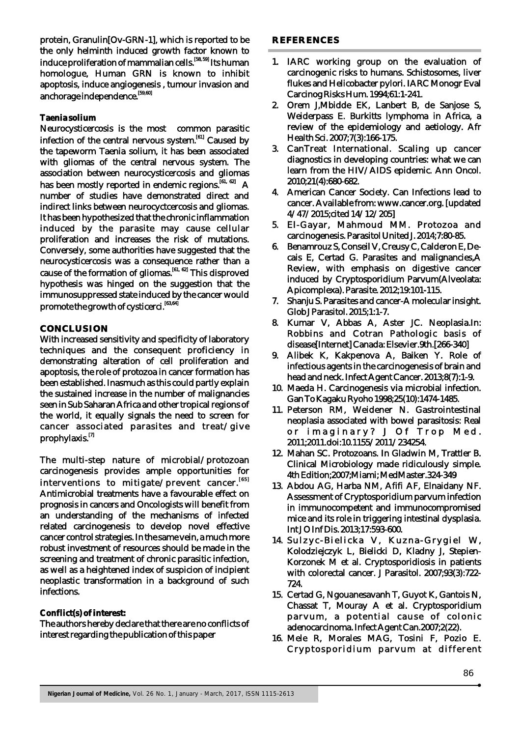protein, Granulin[Ov-GRN-1], which is reported to be the only helminth induced growth factor known to induce proliferation of mammalian cells.<sup>[58, 59]</sup> Its human homologue, Human GRN is known to inhibit apoptosis, induce angiogenesis , tumour invasion and anchorage independence. [59,60]

## **Taenia solium**

Neurocysticercosis is the most common parasitic  $\frac{1}{\sqrt{6}}$  infection of the central nervous system.  $\frac{1}{\sqrt{6}}$  Caused by the tapeworm Taenia solium, it has been associated with gliomas of the central nervous system. The association between neurocysticercosis and gliomas has been mostly reported in endemic regions.  $^{[61, 62]}$  A number of studies have demonstrated direct and indirect links between neurocyctcercosis and gliomas. It has been hypothesized that the chronic inflammation induced by the parasite may cause cellular proliferation and increases the risk of mutations. Conversely, some authorities have suggested that the neurocysticercosis was a consequence rather than a cause of the formation of gliomas.<sup>[61, 62]</sup> This disproved hypothesis was hinged on the suggestion that the immunosuppressed state induced by the cancer would promote the growth of cysticerci.<sup>[63,64]</sup>

## **CONCLUSION**

With increased sensitivity and specificity of laboratory techniques and the consequent proficiency in demonstrating alteration of cell proliferation and apoptosis, the role of protozoa in cancer formation has been established. Inasmuch as this could partly explain the sustained increase in the number of malignancies seen in Sub Saharan Africa and other tropical regions of the world, it equally signals the need to screen for cancer associated parasites and treat/give prophylaxis.<sup>[7]</sup>

The multi-step nature of microbial/protozoan carcinogenesis provides ample opportunities for interventions to mitigate/prevent cancer.<sup>[65]</sup> Antimicrobial treatments have a favourable effect on prognosis in cancers and Oncologists will benefit from an understanding of the mechanisms of infected related carcinogenesis to develop novel effective cancer control strategies. In the same vein, a much more robust investment of resources should be made in the screening and treatment of chronic parasitic infection, as well as a heightened index of suspicion of incipient neoplastic transformation in a background of such infections.

#### **Conflict(s) of interest:**

The authors hereby declare that there are no conflicts of interest regarding the publication of this paper

- 1. IARC working group on the evaluation of carcinogenic risks to humans. Schistosomes, liver flukes and Helicobacter pylori. IARC Monogr Eval Carcinog Risks Hum. 1994;61:1-241.
- 2. Orem J,Mbidde EK, Lanbert B, de Sanjose S, Weiderpass E. Burkitts lymphoma in Africa, a review of the epidemiology and aetiology. Afr Health Sci. 2007;7(3):166-175.
- 3. CanTreat International. Scaling up cancer diagnostics in developing countries: what we can learn from the HIV/AIDS epidemic. Ann Oncol. 2010;21(4):680-682.
- 4. American Cancer Society. Can Infections lead to cancer. Available from: www.cancer.org. [updated 4/47/2015;cited 14/12/205]
- 5. El-Gayar, Mahmoud MM. Protozoa and carcinogenesis. Parasitol United J. 2014;7:80-85.
- 6. Benamrouz S, Conseil V, Creusy C, Calderon E, Decais E, Certad G. Parasites and malignancies,A Review, with emphasis on digestive cancer induced by Cryptosporidium Parvum(Alveolata: Apicomplexa). Parasite. 2012;19:101-115.
- 7. Shanju S. Parasites and cancer-A molecular insight. Glob J Parasitol. 2015;1:1-7.
- 8. Kumar V, Abbas A, Aster JC. Neoplasia.In: Robbins and Cotran Pathologic basis of disease[Internet] Canada: Elsevier.9th.[266-340]
- 9. Alibek K, Kakpenova A, Baiken Y. Role of infectious agents in the carcinogenesis of brain and head and neck. Infect Agent Cancer. 2013;8(7):1-9.
- 10. Maeda H. Carcinogenesis via microbial infection. Gan To Kagaku Ryoho 1998;25(10):1474-1485.
- 11. Peterson RM, Weidener N. Gastrointestinal neoplasia associated with bowel parasitosis: Real or imaginary? J Of Trop Med. 2011;2011.doi:10.1155/2011/234254.
- 12. Mahan SC. Protozoans. In Gladwin M, Trattler B. Clinical Microbiology made ridiculously simple. 4th Edition;2007;Miami; MedMaster.324-349
- 13. Abdou AG, Harba NM, Afifi AF, Elnaidany NF. Assessment of Cryptosporidium parvum infection in immunocompetent and immunocompromised mice and its role in triggering intestinal dysplasia. Int J O Inf Dis. 2013;17:593-600.
- 14. Sulzyc-Bielicka V, Kuzna-Grygiel W, Kolodziejczyk L, Bielicki D, Kladny J, Stepien-Korzonek M et al. Cryptosporidiosis in patients with colorectal cancer. J Parasitol. 2007;93(3):722- 724.
- 15. Certad G, Ngouanesavanh T, Guyot K, Gantois N, Chassat T, Mouray A et al. Cryptosporidium parvum, a potential cause of colonic adenocarcinoma. Infect Agent Can.2007;2(22).
- 16. Mele R, Morales MAG, Tosini F, Pozio E. Cryptosporidium parvum at different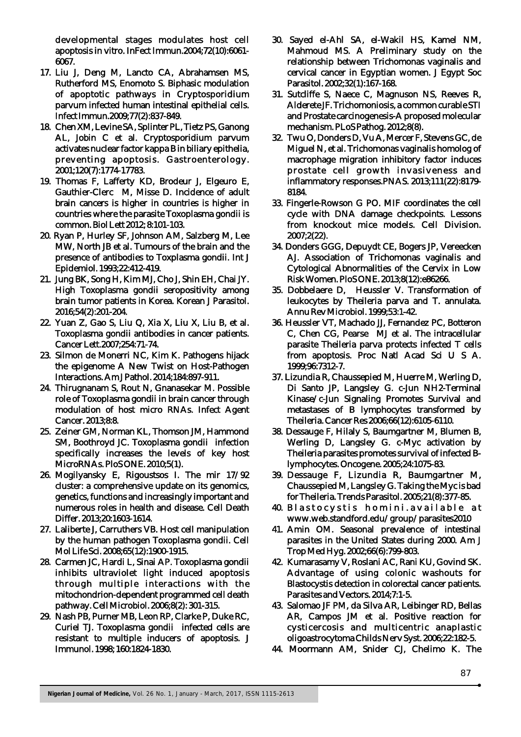developmental stages modulates host cell apoptosis in vitro. InFect Immun.2004;72(10):6061- 6067.

- 17. Liu J, Deng M, Lancto CA, Abrahamsen MS, Rutherford MS, Enomoto S. Biphasic modulation of apoptotic pathways in Cryptosporidium parvum infected human intestinal epithelial cells. Infect Immun.2009;77(2):837-849.
- 18. Chen XM, Levine SA, Splinter PL, Tietz PS, Ganong AL, Jobin C et al. Cryptosporidium parvum activates nuclear factor kappa B in biliary epithelia, preventing apoptosis. Gastroenterology. 2001;120(7):1774-17783.
- 19. Thomas F, Lafferty KD, Brodeur J, Elgeuro E, Gauthier-Clerc M, Misse D. Incidence of adult brain cancers is higher in countries is higher in countries where the parasite Toxoplasma gondii is common. Biol Lett 2012; 8:101-103.
- 20. Ryan P, Hurley SF, Johnson AM, Salzberg M, Lee MW, North JB et al. Tumours of the brain and the presence of antibodies to Toxplasma gondii. Int J Epidemiol. 1993;22:412-419.
- 21. Jung BK, Song H, Kim MJ, Cho J, Shin EH, Chai JY. High Toxoplasma gondii seropositivity among brain tumor patients in Korea. Korean J Parasitol. 2016;54(2):201-204.
- 22. Yuan Z, Gao S, Liu Q, Xia X, Liu X, Liu B, et al. Toxoplasma gondii antibodies in cancer patients. Cancer Lett.2007;254:71-74.
- 23. Silmon de Monerri NC, Kim K. Pathogens hijack the epigenome A New Twist on Host-Pathogen Interactions. Am J Pathol. 2014;184:897-911.
- 24. Thirugnanam S, Rout N, Gnanasekar M. Possible role of Toxoplasma gondii in brain cancer through modulation of host micro RNAs. Infect Agent Cancer. 2013;8:8.
- 25. Zeiner GM, Norman KL, Thomson JM, Hammond SM, Boothroyd JC. Toxoplasma gondii infection specifically increases the levels of key host MicroRNAs. PloS ONE. 2010;5(1).
- 26. Mogilyansky E, Rigoustsos I. The mir 17/92 cluster: a comprehensive update on its genomics, genetics, functions and increasingly important and numerous roles in health and disease. Cell Death Differ. 2013;20:1603-1614.
- 27. Laliberte J, Carruthers VB. Host cell manipulation by the human pathogen Toxoplasma gondii. Cell Mol Life Sci. 2008;65(12):1900-1915.
- 28. Carmen JC, Hardi L, Sinai AP. Toxoplasma gondii inhibits ultraviolet light induced apoptosis through multiple interactions with the mitochondrion-dependent programmed cell death pathway. Cell Microbiol. 2006;8(2): 301-315.
- 29. Nash PB, Purner MB, Leon RP, Clarke P, Duke RC, Curiel TJ. Toxoplasma gondii infected cells are resistant to multiple inducers of apoptosis. J Immunol. 1998; 160:1824-1830.
- 30. Sayed el-Ahl SA, el-Wakil HS, Kamel NM, Mahmoud MS. A Preliminary study on the relationship between Trichomonas vaginalis and cervical cancer in Egyptian women. J Egypt Soc Parasitol. 2002;32(1):167-168.
- 31. Sutcliffe S, Naece C, Magnuson NS, Reeves R, Alderete JF. Trichomoniosis, a common curable STI and Prostate carcinogenesis-A proposed molecular mechanism. PLoS Pathog. 2012;8(8).
- 32. Twu O, Donders D, Vu A, Mercer F, Stevens GC, de Miguel N, et al. Trichomonas vaginalis homolog of macrophage migration inhibitory factor induces prostate cell growth invasiveness and inflammatory responses.PNAS. 2013;111(22):8179- 8184.
- 33. Fingerle-Rowson G PO. MIF coordinates the cell cycle with DNA damage checkpoints. Lessons from knockout mice models. Cell Division. 2007;2(22).
- 34. Donders GGG, Depuydt CE, Bogers JP, Vereecken AJ. Association of Trichomonas vaginalis and Cytological Abnormalities of the Cervix in Low Risk Women. PloS ONE. 2013;8(12):e86266.
- 35. Dobbelaere D, Heussler V. Transformation of leukocytes by Theileria parva and T. annulata. Annu Rev Microbiol. 1999;53:1-42.
- 36. Heussler VT, Machado JJ, Fernandez PC, Botteron C, Chen CG, Pearse MJ et al. The intracellular parasite Theileria parva protects infected T cells from apoptosis. Proc Natl Acad Sci U S A. 1999;96:7312-7.
- 37. Lizundia R, Chaussepied M, Huerre M, Werling D, Di Santo JP, Langsley G. c-Jun NH2-Terminal Kinase/c-Jun Signaling Promotes Survival and metastases of B lymphocytes transformed by Theileria. Cancer Res 2006;66(12):6105-6110.
- 38. Dessauge F, Hilaly S, Baumgartner M, Blumen B, Werling D, Langsley G. c-Myc activation by Theileria parasites promotes survival of infected Blymphocytes. Oncogene. 2005;24:1075-83.
- 39. Dessauge F, Lizundia R, Baumgartner M, Chaussepied M, Langsley G. Taking the Myc is bad for Theileria. Trends Parasitol. 2005;21(8):377-85.
- 40. Blastocystis homini. available at www.web.standford.edu/group/parasites2010
- 41. Amin OM. Seasonal prevalence of intestinal parasites in the United States during 2000. Am J Trop Med Hyg. 2002;66(6):799-803.
- 42. Kumarasamy V, Roslani AC, Rani KU, Govind SK. Advantage of using colonic washouts for Blastocystis detection in colorectal cancer patients. Parasites and Vectors. 2014;7:1-5.
- 43. Salomao JF PM, da Silva AR, Leibinger RD, Bellas AR, Campos JM et al. Positive reaction for cysticercosis and multicentric anaplastic oligoastrocytoma Childs Nerv Syst. 2006;22:182-5.
- 44. Moormann AM, Snider CJ, Chelimo K. The